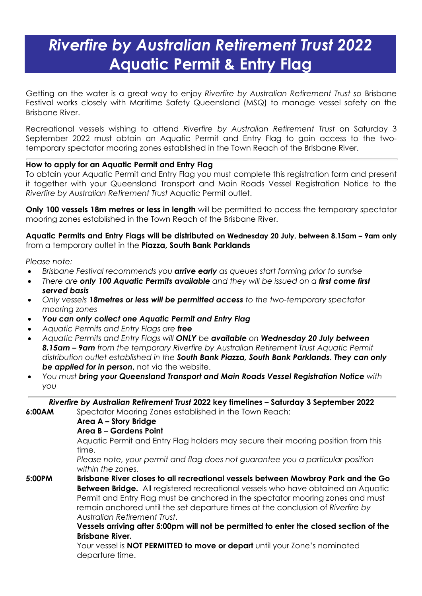# *Riverfire by Australian Retirement Trust 2022* **Aquatic Permit & Entry Flag**

Getting on the water is a great way to enjoy *Riverfire by Australian Retirement Trust so* Brisbane Festival works closely with Maritime Safety Queensland (MSQ) to manage vessel safety on the Brisbane River.

Recreational vessels wishing to attend *Riverfire by Australian Retirement Trust* on Saturday 3 September 2022 must obtain an Aquatic Permit and Entry Flag to gain access to the twotemporary spectator mooring zones established in the Town Reach of the Brisbane River.

## **How to apply for an Aquatic Permit and Entry Flag**

To obtain your Aquatic Permit and Entry Flag you must complete this registration form and present it together with your Queensland Transport and Main Roads Vessel Registration Notice to the *Riverfire by Australian Retirement Trust* Aquatic Permit outlet.

**Only 100 vessels 18m metres or less in length** will be permitted to access the temporary spectator mooring zones established in the Town Reach of the Brisbane River.

### **Aquatic Permits and Entry Flags will be distributed on Wednesday 20 July, between 8.15am – 9am only**  from a temporary outlet in the **Piazza, South Bank Parklands**

*Please note:*

- *Brisbane Festival recommends you arrive early as queues start forming prior to sunrise*
- *There are only 100 Aquatic Permits available and they will be issued on a first come first served basis*
- *Only vessels 18metres or less will be permitted access to the two-temporary spectator mooring zones*
- *You can only collect one Aquatic Permit and Entry Flag*
- *Aquatic Permits and Entry Flags are free*
- *Aquatic Permits and Entry Flags will ONLY be available on Wednesday 20 July between 8.15am – 9am from the temporary Riverfire by Australian Retirement Trust Aquatic Permit distribution outlet established in the South Bank Piazza, South Bank Parklands. They can only*  **be applied for in person**, not via the website.
- *You must bring your Queensland Transport and Main Roads Vessel Registration Notice with you*

*Riverfire by Australian Retirement Trust* **2022 key timelines – Saturday 3 September 2022**

**6:00AM** Spectator Mooring Zones established in the Town Reach:

**Area A – Story Bridge**

### **Area B – Gardens Point**

Aquatic Permit and Entry Flag holders may secure their mooring position from this time.

*Please note, your permit and flag does not guarantee you a particular position within the zones.*

**5:00PM Brisbane River closes to all recreational vessels between Mowbray Park and the Go Between Bridge.** All registered recreational vessels who have obtained an Aquatic Permit and Entry Flag must be anchored in the spectator mooring zones and must remain anchored until the set departure times at the conclusion of *Riverfire by Australian Retirement Trust*.

**Vessels arriving after 5:00pm will not be permitted to enter the closed section of the Brisbane River.**

Your vessel is **NOT PERMITTED to move or depart** until your Zone's nominated departure time.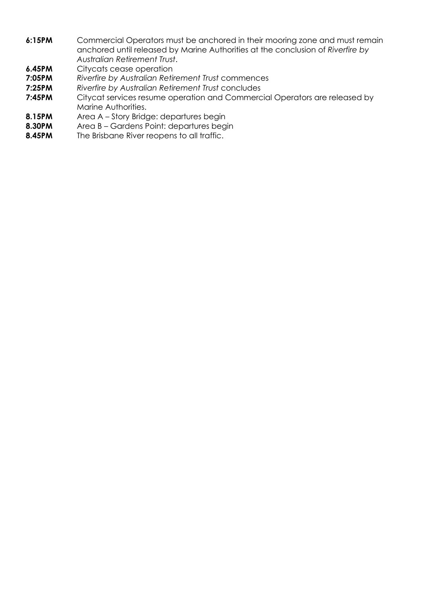- **6:15PM** Commercial Operators must be anchored in their mooring zone and must remain anchored until released by Marine Authorities at the conclusion of *Riverfire by Australian Retirement Trust*.
- **6.45PM** Citycats cease operation
- **7:05PM** *Riverfire by Australian Retirement Trust* commences
- **7:25PM** *Riverfire by Australian Retirement Trust* concludes
- **7:45PM** Citycat services resume operation and Commercial Operators are released by Marine Authorities.
- **8.15PM** Area A Story Bridge: departures begin
- **8.30PM** Area B Gardens Point: departures begin
- **8.45PM** The Brisbane River reopens to all traffic.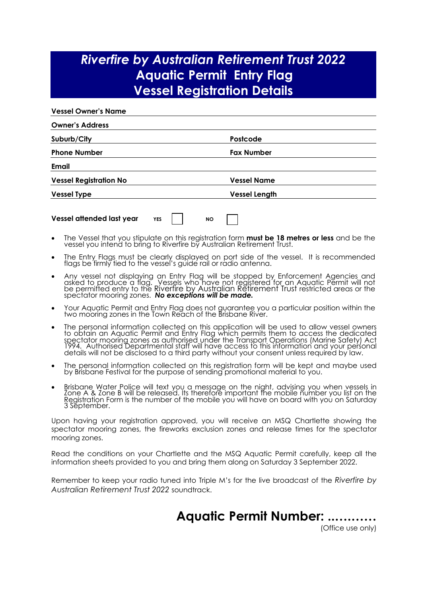# *Riverfire by Australian Retirement Trust 2022* **Aquatic Permit Entry Flag Vessel Registration Details**

| <b>Vessel Owner's Name</b>              |                      |
|-----------------------------------------|----------------------|
| <b>Owner's Address</b>                  |                      |
| Suburb/City                             | Postcode             |
| <b>Phone Number</b>                     | <b>Fax Number</b>    |
| Email                                   |                      |
| <b>Vessel Registration No</b>           | <b>Vessel Name</b>   |
| <b>Vessel Type</b>                      | <b>Vessel Length</b> |
| Vessel attended last year<br><b>YES</b> | <b>NO</b>            |

- The Vessel that you stipulate on this registration form **must be 18 metres or less** and be the vessel you intend to bring to Riverfire by Australian Retirement Trust.
- The Entry Flags must be clearly displayed on port side of the vessel. It is recommended flags be firmly tied to the vessel's guide rail or radio antenna.
- Any vessel not displaying an Entry Flag will be stopped by Enforcement Agencies and asked to produce a flag. Vessels who have not registered for an Aquatic Permit will not be permitted entry to the Riverfire by Australian Retirement Trust restricted areas or the spectator mooring zones. *No exceptions will be made.*
- Your Aquatic Permit and Entry Flag does not guarantee you a particular position within the two mooring zones in the Town Reach of the Brisbane River.
- The personal information collected on this application will be used to allow vessel owners to obtain an Aquatic Permit and Entry Flag which permits them to access the dedicated spectator mooring zones as authorised under the Transport Operations (Marine Safety) Act<br>1994. Authorised Departmental staff will have access to this information and your personal<br>details will not be disclosed to a third
- The personal information collected on this registration form will be kept and maybe used by Brisbane Festival for the purpose of sending promotional material to you.
- Brisbane Water Police will text you a message on the night, advising you when vessels in Zone A & Zone B will be released. Its therefore important the mobile number you list on the Registration Form is the number of the mobile you will have on board with you on Saturday.<br>3 September.

Upon having your registration approved, you will receive an MSQ Chartlette showing the spectator mooring zones, the fireworks exclusion zones and release times for the spectator mooring zones.

Read the conditions on your Chartlette and the MSQ Aquatic Permit carefully, keep all the information sheets provided to you and bring them along on Saturday 3 September 2022.

Remember to keep your radio tuned into Triple M's for the live broadcast of the *Riverfire by Australian Retirement Trust 2022* soundtrack.

**Aquatic Permit Number: ..….……**

(Office use only)